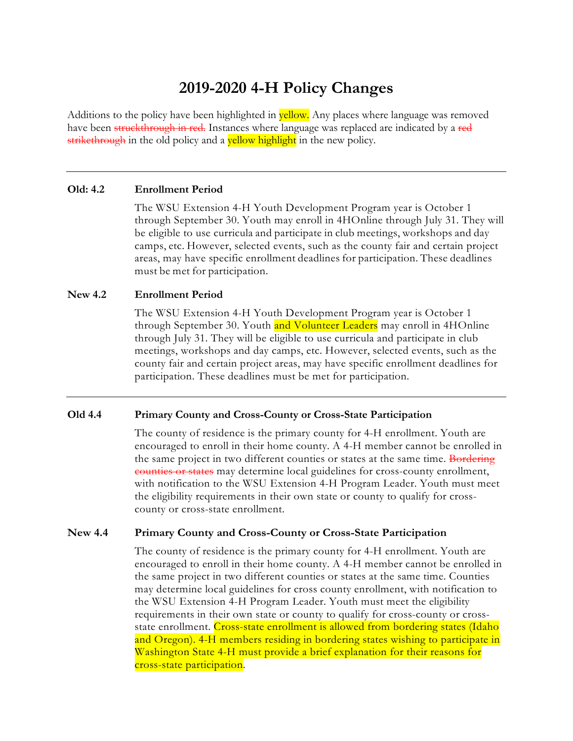# **2019-2020 4-H Policy Changes**

Additions to the policy have been highlighted in **yellow.** Any places where language was removed have been struckthrough in red. Instances where language was replaced are indicated by a red strikethrough in the old policy and a vellow highlight in the new policy.

### **Old: 4.2 Enrollment Period**

The WSU Extension 4-H Youth Development Program year is October 1 through September 30. Youth may enroll in 4HOnline through July 31. They will be eligible to use curricula and participate in club meetings, workshops and day camps, etc. However, selected events, such as the county fair and certain project areas, may have specific enrollment deadlines for participation. These deadlines must be met for participation.

### **New 4.2 Enrollment Period**

The WSU Extension 4-H Youth Development Program year is October 1 through September 30. Youth and Volunteer Leaders may enroll in 4HOnline through July 31. They will be eligible to use curricula and participate in club meetings, workshops and day camps, etc. However, selected events, such as the county fair and certain project areas, may have specific enrollment deadlines for participation. These deadlines must be met for participation.

# **Old 4.4 Primary County and Cross-County or Cross-State Participation**

The county of residence is the primary county for 4-H enrollment. Youth are encouraged to enroll in their home county. A 4-H member cannot be enrolled in the same project in two different counties or states at the same time. Bordering counties or states may determine local guidelines for cross-county enrollment, with notification to the WSU Extension 4-H Program Leader. Youth must meet the eligibility requirements in their own state or county to qualify for crosscounty or cross-state enrollment.

#### **New 4.4 Primary County and Cross-County or Cross-State Participation**

The county of residence is the primary county for 4-H enrollment. Youth are encouraged to enroll in their home county. A 4-H member cannot be enrolled in the same project in two different counties or states at the same time. Counties may determine local guidelines for cross county enrollment, with notification to the WSU Extension 4-H Program Leader. Youth must meet the eligibility requirements in their own state or county to qualify for cross-county or crossstate enrollment. Cross-state enrollment is allowed from bordering states (Idaho and Oregon). 4-H members residing in bordering states wishing to participate in Washington State 4-H must provide a brief explanation for their reasons for cross-state participation.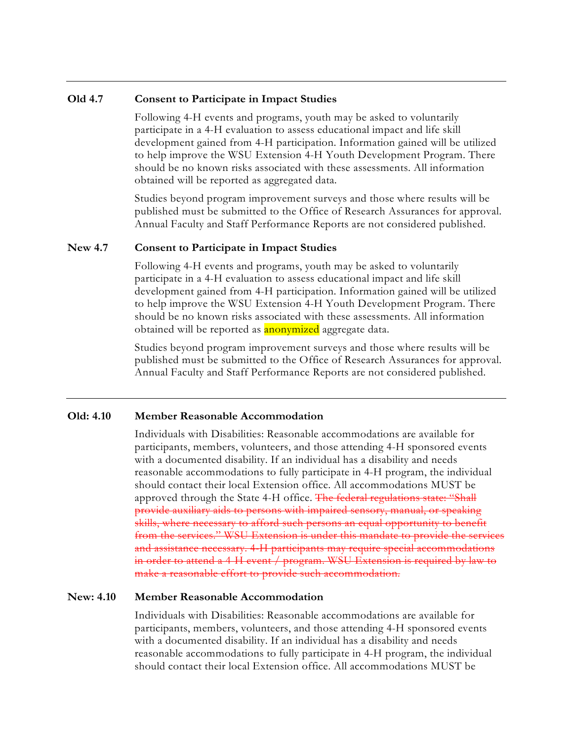### **Old 4.7 Consent to Participate in Impact Studies**

Following 4-H events and programs, youth may be asked to voluntarily participate in a 4-H evaluation to assess educational impact and life skill development gained from 4-H participation. Information gained will be utilized to help improve the WSU Extension 4-H Youth Development Program. There should be no known risks associated with these assessments. All information obtained will be reported as aggregated data.

Studies beyond program improvement surveys and those where results will be published must be submitted to the Office of Research Assurances for approval. Annual Faculty and Staff Performance Reports are not considered published.

# **New 4.7 Consent to Participate in Impact Studies**

Following 4-H events and programs, youth may be asked to voluntarily participate in a 4-H evaluation to assess educational impact and life skill development gained from 4-H participation. Information gained will be utilized to help improve the WSU Extension 4-H Youth Development Program. There should be no known risks associated with these assessments. All information obtained will be reported as **anonymized** aggregate data.

Studies beyond program improvement surveys and those where results will be published must be submitted to the Office of Research Assurances for approval. Annual Faculty and Staff Performance Reports are not considered published.

# **Old: 4.10 Member Reasonable Accommodation**

Individuals with Disabilities: Reasonable accommodations are available for participants, members, volunteers, and those attending 4-H sponsored events with a documented disability. If an individual has a disability and needs reasonable accommodations to fully participate in 4-H program, the individual should contact their local Extension office. All accommodations MUST be approved through the State 4-H office. The federal regulations state: "Shall provide auxiliary aids to persons with impaired sensory, manual, or speaking skills, where necessary to afford such persons an equal opportunity to benefit from the services." WSU Extension is under this mandate to provide the services and assistance necessary. 4-H participants may require special accommodations in order to attend a 4-H event / program. WSU Extension is required by law to make a reasonable effort to provide such accommodation.

# **New: 4.10 Member Reasonable Accommodation**

Individuals with Disabilities: Reasonable accommodations are available for participants, members, volunteers, and those attending 4-H sponsored events with a documented disability. If an individual has a disability and needs reasonable accommodations to fully participate in 4-H program, the individual should contact their local Extension office. All accommodations MUST be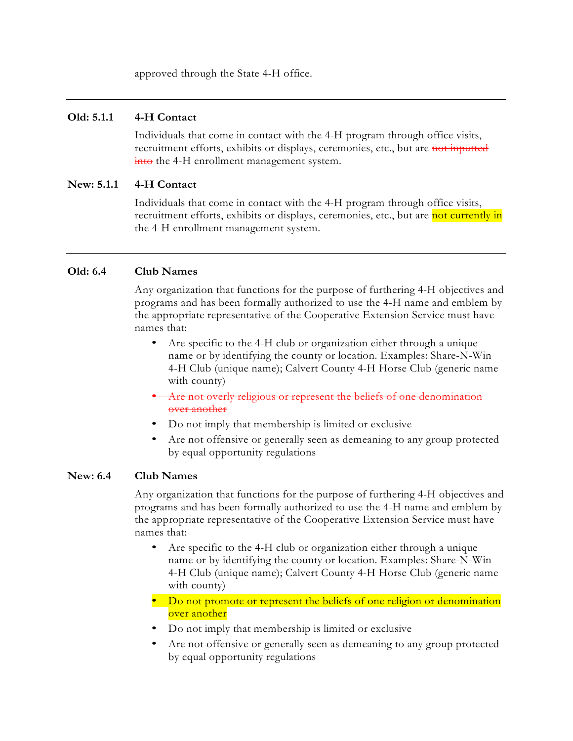approved through the State 4-H office.

### **Old: 5.1.1 4-H Contact**

Individuals that come in contact with the 4-H program through office visits, recruitment efforts, exhibits or displays, ceremonies, etc., but are not inputted into the 4-H enrollment management system.

### **New: 5.1.1 4-H Contact**

Individuals that come in contact with the 4-H program through office visits, recruitment efforts, exhibits or displays, ceremonies, etc., but are not currently in the 4-H enrollment management system.

### **Old: 6.4 Club Names**

Any organization that functions for the purpose of furthering 4-H objectives and programs and has been formally authorized to use the 4-H name and emblem by the appropriate representative of the Cooperative Extension Service must have names that:

- Are specific to the 4-H club or organization either through a unique name or by identifying the county or location. Examples: Share-N-Win 4-H Club (unique name); Calvert County 4-H Horse Club (generic name with county)
- Are not overly religious or represent the beliefs of one denomination over another
- Do not imply that membership is limited or exclusive
- Are not offensive or generally seen as demeaning to any group protected by equal opportunity regulations

#### **New: 6.4 Club Names**

Any organization that functions for the purpose of furthering 4-H objectives and programs and has been formally authorized to use the 4-H name and emblem by the appropriate representative of the Cooperative Extension Service must have names that:

- Are specific to the 4-H club or organization either through a unique name or by identifying the county or location. Examples: Share-N-Win 4-H Club (unique name); Calvert County 4-H Horse Club (generic name with county)
- Do not promote or represent the beliefs of one religion or denomination over another
- Do not imply that membership is limited or exclusive
- Are not offensive or generally seen as demeaning to any group protected by equal opportunity regulations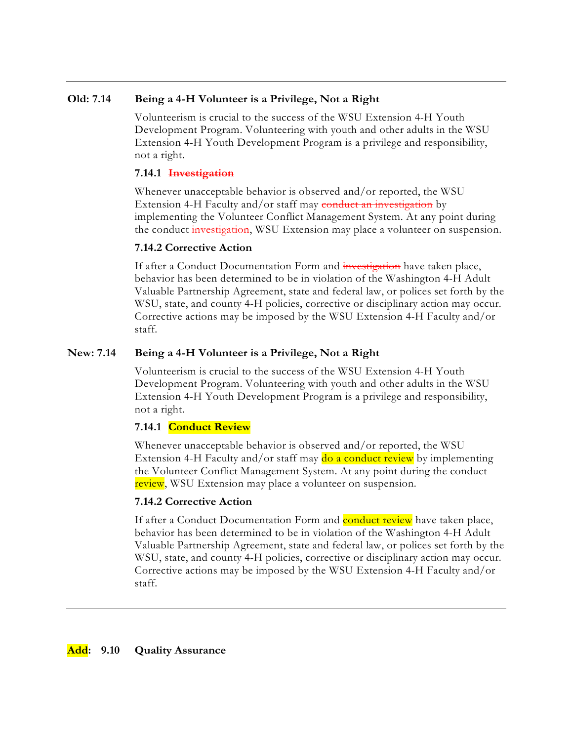# **Old: 7.14 Being a 4-H Volunteer is a Privilege, Not a Right**

Volunteerism is crucial to the success of the WSU Extension 4-H Youth Development Program. Volunteering with youth and other adults in the WSU Extension 4-H Youth Development Program is a privilege and responsibility, not a right.

# **7.14.1 Investigation**

Whenever unacceptable behavior is observed and/or reported, the WSU Extension 4-H Faculty and/or staff may conduct an investigation by implementing the Volunteer Conflict Management System. At any point during the conduct investigation, WSU Extension may place a volunteer on suspension.

# **7.14.2 Corrective Action**

If after a Conduct Documentation Form and investigation have taken place, behavior has been determined to be in violation of the Washington 4-H Adult Valuable Partnership Agreement, state and federal law, or polices set forth by the WSU, state, and county 4-H policies, corrective or disciplinary action may occur. Corrective actions may be imposed by the WSU Extension 4-H Faculty and/or staff.

# **New: 7.14 Being a 4-H Volunteer is a Privilege, Not a Right**

Volunteerism is crucial to the success of the WSU Extension 4-H Youth Development Program. Volunteering with youth and other adults in the WSU Extension 4-H Youth Development Program is a privilege and responsibility, not a right.

# **7.14.1 Conduct Review**

Whenever unacceptable behavior is observed and/or reported, the WSU Extension 4-H Faculty and/or staff may  $\frac{d}{d}$  a conduct review by implementing the Volunteer Conflict Management System. At any point during the conduct review, WSU Extension may place a volunteer on suspension.

# **7.14.2 Corrective Action**

If after a Conduct Documentation Form and **conduct review** have taken place, behavior has been determined to be in violation of the Washington 4-H Adult Valuable Partnership Agreement, state and federal law, or polices set forth by the WSU, state, and county 4-H policies, corrective or disciplinary action may occur. Corrective actions may be imposed by the WSU Extension 4-H Faculty and/or staff.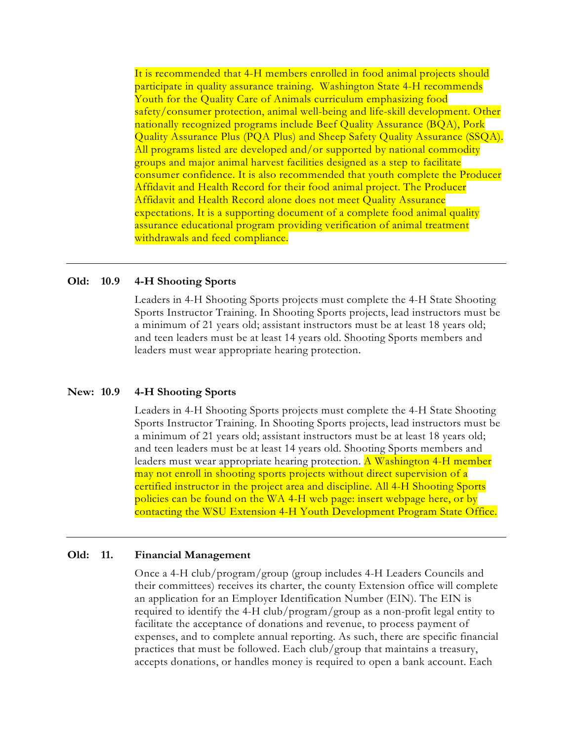It is recommended that 4-H members enrolled in food animal projects should participate in quality assurance training. Washington State 4-H recommends Youth for the Quality Care of Animals curriculum emphasizing food safety/consumer protection, animal well-being and life-skill development. Other nationally recognized programs include Beef Quality Assurance (BQA), Pork Quality Assurance Plus (PQA Plus) and Sheep Safety Quality Assurance (SSQA). All programs listed are developed and/or supported by national commodity groups and major animal harvest facilities designed as a step to facilitate consumer confidence. It is also recommended that youth complete the Producer Affidavit and Health Record for their food animal project. The Producer Affidavit and Health Record alone does not meet Quality Assurance expectations. It is a supporting document of a complete food animal quality assurance educational program providing verification of animal treatment withdrawals and feed compliance.

#### **Old: 10.9 4-H Shooting Sports**

Leaders in 4-H Shooting Sports projects must complete the 4-H State Shooting Sports Instructor Training. In Shooting Sports projects, lead instructors must be a minimum of 21 years old; assistant instructors must be at least 18 years old; and teen leaders must be at least 14 years old. Shooting Sports members and leaders must wear appropriate hearing protection.

#### **New: 10.9 4-H Shooting Sports**

Leaders in 4-H Shooting Sports projects must complete the 4-H State Shooting Sports Instructor Training. In Shooting Sports projects, lead instructors must be a minimum of 21 years old; assistant instructors must be at least 18 years old; and teen leaders must be at least 14 years old. Shooting Sports members and leaders must wear appropriate hearing protection. A Washington 4-H member may not enroll in shooting sports projects without direct supervision of a certified instructor in the project area and discipline. All 4-H Shooting Sports policies can be found on the WA 4-H web page: insert webpage here, or by contacting the WSU Extension 4-H Youth Development Program State Office.

#### **Old: 11. Financial Management**

Once a 4-H club/program/group (group includes 4-H Leaders Councils and their committees) receives its charter, the county Extension office will complete an application for an Employer Identification Number (EIN). The EIN is required to identify the 4-H club/program/group as a non-profit legal entity to facilitate the acceptance of donations and revenue, to process payment of expenses, and to complete annual reporting. As such, there are specific financial practices that must be followed. Each club/group that maintains a treasury, accepts donations, or handles money is required to open a bank account. Each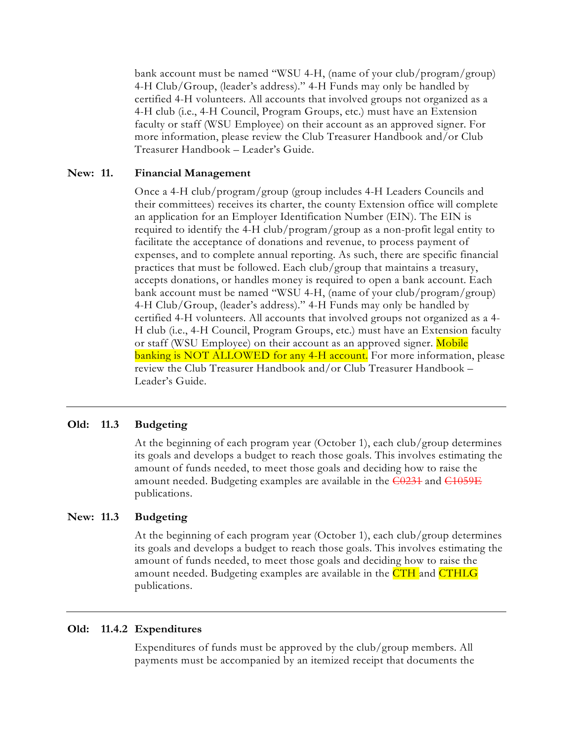bank account must be named "WSU 4-H, (name of your club/program/group) 4-H Club/Group, (leader's address)." 4-H Funds may only be handled by certified 4-H volunteers. All accounts that involved groups not organized as a 4-H club (i.e., 4-H Council, Program Groups, etc.) must have an Extension faculty or staff (WSU Employee) on their account as an approved signer. For more information, please review the Club Treasurer Handbook and/or Club Treasurer Handbook – Leader's Guide.

### **New: 11. Financial Management**

Once a 4-H club/program/group (group includes 4-H Leaders Councils and their committees) receives its charter, the county Extension office will complete an application for an Employer Identification Number (EIN). The EIN is required to identify the 4-H club/program/group as a non-profit legal entity to facilitate the acceptance of donations and revenue, to process payment of expenses, and to complete annual reporting. As such, there are specific financial practices that must be followed. Each club/group that maintains a treasury, accepts donations, or handles money is required to open a bank account. Each bank account must be named "WSU 4-H, (name of your club/program/group) 4-H Club/Group, (leader's address)." 4-H Funds may only be handled by certified 4-H volunteers. All accounts that involved groups not organized as a 4- H club (i.e., 4-H Council, Program Groups, etc.) must have an Extension faculty or staff (WSU Employee) on their account as an approved signer. Mobile banking is NOT ALLOWED for any 4-H account. For more information, please review the Club Treasurer Handbook and/or Club Treasurer Handbook – Leader's Guide.

# **Old: 11.3 Budgeting**

At the beginning of each program year (October 1), each club/group determines its goals and develops a budget to reach those goals. This involves estimating the amount of funds needed, to meet those goals and deciding how to raise the amount needed. Budgeting examples are available in the  $C<sub>0231</sub>$  and  $C<sub>1059E</sub>$ publications.

# **New: 11.3 Budgeting**

At the beginning of each program year (October 1), each club/group determines its goals and develops a budget to reach those goals. This involves estimating the amount of funds needed, to meet those goals and deciding how to raise the amount needed. Budgeting examples are available in the CTH and CTHLG publications.

#### **Old: 11.4.2 Expenditures**

Expenditures of funds must be approved by the club/group members. All payments must be accompanied by an itemized receipt that documents the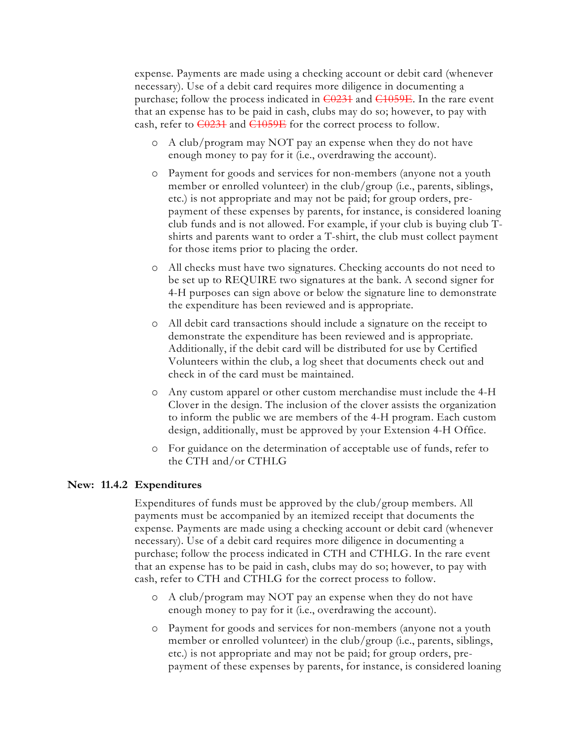expense. Payments are made using a checking account or debit card (whenever necessary). Use of a debit card requires more diligence in documenting a purchase; follow the process indicated in  $\angle 69231$  and  $\angle 64959E$ . In the rare event that an expense has to be paid in cash, clubs may do so; however, to pay with cash, refer to  $\overline{C0231}$  and  $\overline{C1059E}$  for the correct process to follow.

- o A club/program may NOT pay an expense when they do not have enough money to pay for it (i.e., overdrawing the account).
- o Payment for goods and services for non-members (anyone not a youth member or enrolled volunteer) in the club/group (i.e., parents, siblings, etc.) is not appropriate and may not be paid; for group orders, prepayment of these expenses by parents, for instance, is considered loaning club funds and is not allowed. For example, if your club is buying club Tshirts and parents want to order a T-shirt, the club must collect payment for those items prior to placing the order.
- o All checks must have two signatures. Checking accounts do not need to be set up to REQUIRE two signatures at the bank. A second signer for 4-H purposes can sign above or below the signature line to demonstrate the expenditure has been reviewed and is appropriate.
- o All debit card transactions should include a signature on the receipt to demonstrate the expenditure has been reviewed and is appropriate. Additionally, if the debit card will be distributed for use by Certified Volunteers within the club, a log sheet that documents check out and check in of the card must be maintained.
- o Any custom apparel or other custom merchandise must include the 4-H Clover in the design. The inclusion of the clover assists the organization to inform the public we are members of the 4-H program. Each custom design, additionally, must be approved by your Extension 4-H Office.
- o For guidance on the determination of acceptable use of funds, refer to the CTH and/or CTHLG

# **New: 11.4.2 Expenditures**

Expenditures of funds must be approved by the club/group members. All payments must be accompanied by an itemized receipt that documents the expense. Payments are made using a checking account or debit card (whenever necessary). Use of a debit card requires more diligence in documenting a purchase; follow the process indicated in CTH and CTHLG. In the rare event that an expense has to be paid in cash, clubs may do so; however, to pay with cash, refer to CTH and CTHLG for the correct process to follow.

- o A club/program may NOT pay an expense when they do not have enough money to pay for it (i.e., overdrawing the account).
- o Payment for goods and services for non-members (anyone not a youth member or enrolled volunteer) in the club/group (i.e., parents, siblings, etc.) is not appropriate and may not be paid; for group orders, prepayment of these expenses by parents, for instance, is considered loaning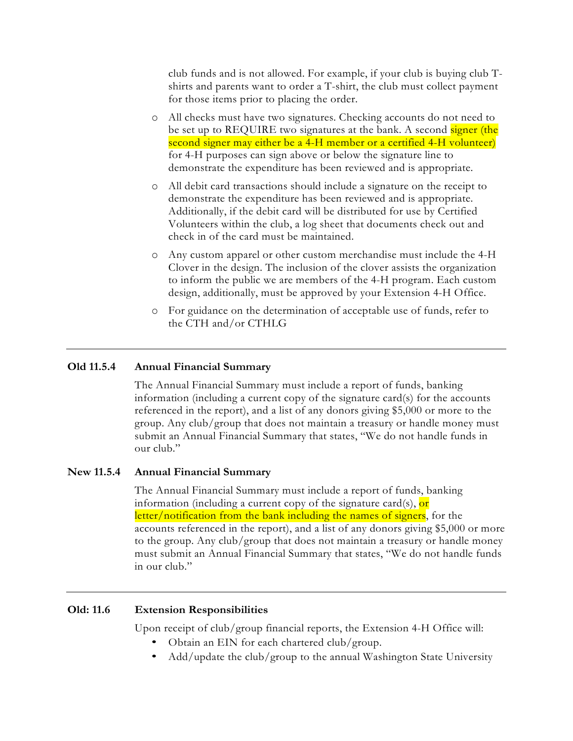club funds and is not allowed. For example, if your club is buying club Tshirts and parents want to order a T-shirt, the club must collect payment for those items prior to placing the order.

- o All checks must have two signatures. Checking accounts do not need to be set up to REQUIRE two signatures at the bank. A second signer (the second signer may either be a 4-H member or a certified 4-H volunteer) for 4-H purposes can sign above or below the signature line to demonstrate the expenditure has been reviewed and is appropriate.
- o All debit card transactions should include a signature on the receipt to demonstrate the expenditure has been reviewed and is appropriate. Additionally, if the debit card will be distributed for use by Certified Volunteers within the club, a log sheet that documents check out and check in of the card must be maintained.
- o Any custom apparel or other custom merchandise must include the 4-H Clover in the design. The inclusion of the clover assists the organization to inform the public we are members of the 4-H program. Each custom design, additionally, must be approved by your Extension 4-H Office.
- o For guidance on the determination of acceptable use of funds, refer to the CTH and/or CTHLG

# **Old 11.5.4 Annual Financial Summary**

The Annual Financial Summary must include a report of funds, banking information (including a current copy of the signature card(s) for the accounts referenced in the report), and a list of any donors giving \$5,000 or more to the group. Any club/group that does not maintain a treasury or handle money must submit an Annual Financial Summary that states, "We do not handle funds in our club."

#### **New 11.5.4 Annual Financial Summary**

The Annual Financial Summary must include a report of funds, banking information (including a current copy of the signature card(s), or letter/notification from the bank including the names of signers, for the accounts referenced in the report), and a list of any donors giving \$5,000 or more to the group. Any club/group that does not maintain a treasury or handle money must submit an Annual Financial Summary that states, "We do not handle funds in our club."

#### **Old: 11.6 Extension Responsibilities**

Upon receipt of club/group financial reports, the Extension 4-H Office will:

- Obtain an EIN for each chartered club/group.
- Add/update the club/group to the annual Washington State University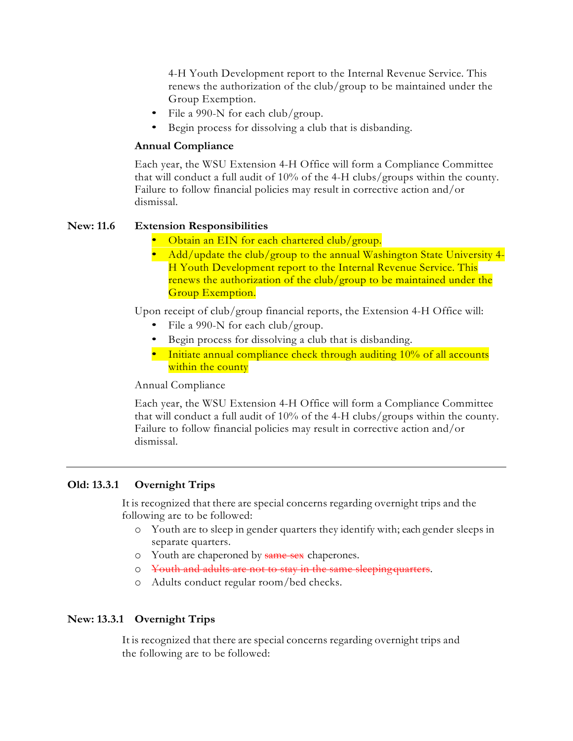4-H Youth Development report to the Internal Revenue Service. This renews the authorization of the club/group to be maintained under the Group Exemption.

- File a 990-N for each club/group.
- Begin process for dissolving a club that is disbanding.

# **Annual Compliance**

Each year, the WSU Extension 4-H Office will form a Compliance Committee that will conduct a full audit of 10% of the 4-H clubs/groups within the county. Failure to follow financial policies may result in corrective action and/or dismissal.

# **New: 11.6 Extension Responsibilities**

- Obtain an EIN for each chartered club/group.
- Add/update the club/group to the annual Washington State University 4-H Youth Development report to the Internal Revenue Service. This renews the authorization of the club/group to be maintained under the Group Exemption.

Upon receipt of club/group financial reports, the Extension 4-H Office will:

- File a 990-N for each club/group.
- Begin process for dissolving a club that is disbanding.
- Initiate annual compliance check through auditing 10% of all accounts within the county

Annual Compliance

Each year, the WSU Extension 4-H Office will form a Compliance Committee that will conduct a full audit of 10% of the 4-H clubs/groups within the county. Failure to follow financial policies may result in corrective action and/or dismissal.

# **Old: 13.3.1 Overnight Trips**

It is recognized that there are special concerns regarding overnight trips and the following are to be followed:

- o Youth are to sleep in gender quarters they identify with; each gender sleeps in separate quarters.
- o Youth are chaperoned by same-sex chaperones.
- o Youth and adults are not to stay in the same sleepingquarters.
- o Adults conduct regular room/bed checks.

# **New: 13.3.1 Overnight Trips**

It is recognized that there are special concerns regarding overnight trips and the following are to be followed: